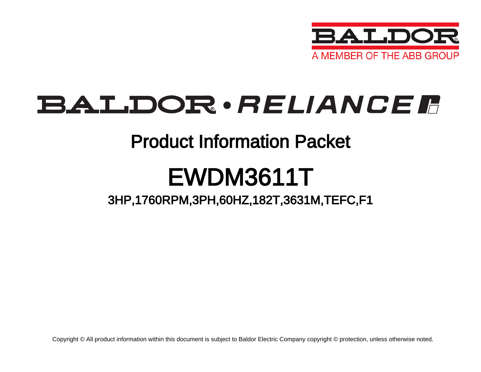

## BALDOR · RELIANCE F

### Product Information Packet

# EWDM3611T

### 3HP,1760RPM,3PH,60HZ,182T,3631M,TEFC,F1

Copyright © All product information within this document is subject to Baldor Electric Company copyright © protection, unless otherwise noted.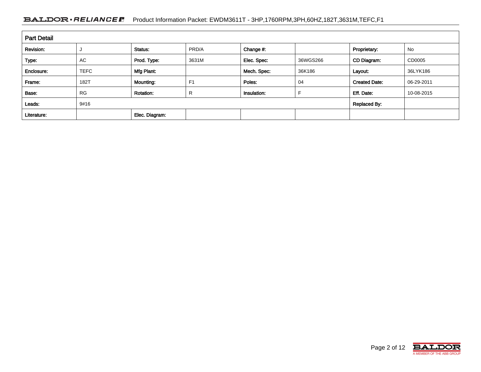#### BALDOR · RELIANCE F Product Information Packet: EWDM3611T - 3HP,1760RPM,3PH,60HZ,182T,3631M,TEFC,F1

| <b>Part Detail</b> |             |                  |                |             |          |                      |            |
|--------------------|-------------|------------------|----------------|-------------|----------|----------------------|------------|
| Revision:          |             | Status:          | PRD/A          | Change #:   |          | Proprietary:         | No         |
| Type:              | <b>AC</b>   | Prod. Type:      | 3631M          | Elec. Spec: | 36WGS266 | CD Diagram:          | CD0005     |
| Enclosure:         | <b>TEFC</b> | Mfg Plant:       |                | Mech. Spec: | 36K186   | Layout:              | 36LYK186   |
| Frame:             | 182T        | Mounting:        | F <sub>1</sub> | Poles:      | 04       | <b>Created Date:</b> | 06-29-2011 |
| Base:              | <b>RG</b>   | <b>Rotation:</b> | R              | Insulation: |          | Eff. Date:           | 10-08-2015 |
| Leads:             | 9#16        |                  |                |             |          | <b>Replaced By:</b>  |            |
| Literature:        |             | Elec. Diagram:   |                |             |          |                      |            |

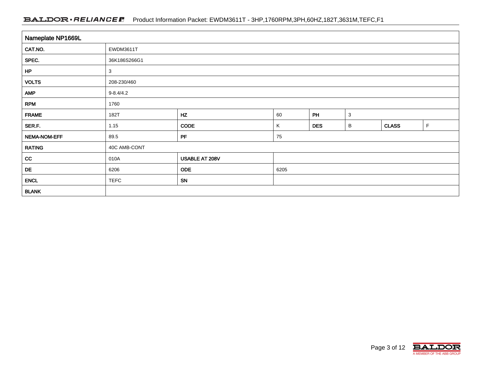#### BALDOR · RELIANCE F Product Information Packet: EWDM3611T - 3HP,1760RPM,3PH,60HZ,182T,3631M,TEFC,F1

| Nameplate NP1669L |                 |                |      |            |              |              |   |  |  |  |
|-------------------|-----------------|----------------|------|------------|--------------|--------------|---|--|--|--|
| CAT.NO.           | EWDM3611T       |                |      |            |              |              |   |  |  |  |
| SPEC.             | 36K186S266G1    |                |      |            |              |              |   |  |  |  |
| HP                | 3               |                |      |            |              |              |   |  |  |  |
| <b>VOLTS</b>      | 208-230/460     |                |      |            |              |              |   |  |  |  |
| <b>AMP</b>        | $9 - 8.4 / 4.2$ |                |      |            |              |              |   |  |  |  |
| <b>RPM</b>        | 1760            |                |      |            |              |              |   |  |  |  |
| <b>FRAME</b>      | 182T            | HZ             | 60   | PH         | $\mathbf{3}$ |              |   |  |  |  |
| SER.F.            | 1.15            | <b>CODE</b>    | Κ    | <b>DES</b> | В            | <b>CLASS</b> | F |  |  |  |
| NEMA-NOM-EFF      | 89.5            | PF             | 75   |            |              |              |   |  |  |  |
| <b>RATING</b>     | 40C AMB-CONT    |                |      |            |              |              |   |  |  |  |
| cc                | 010A            | USABLE AT 208V |      |            |              |              |   |  |  |  |
| DE                | 6206            | <b>ODE</b>     | 6205 |            |              |              |   |  |  |  |
| <b>ENCL</b>       | <b>TEFC</b>     | SN             |      |            |              |              |   |  |  |  |
| <b>BLANK</b>      |                 |                |      |            |              |              |   |  |  |  |

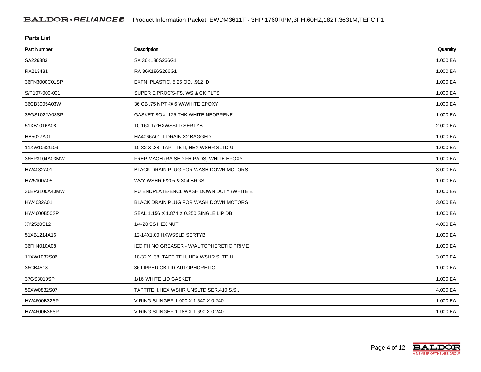| <b>Parts List</b>  |                                            |          |  |  |  |  |
|--------------------|--------------------------------------------|----------|--|--|--|--|
| <b>Part Number</b> | <b>Description</b>                         | Quantity |  |  |  |  |
| SA226383           | SA 36K186S266G1                            | 1.000 EA |  |  |  |  |
| RA213481           | RA 36K186S266G1                            | 1.000 EA |  |  |  |  |
| 36FN3000C01SP      | EXFN, PLASTIC, 5.25 OD, .912 ID            | 1.000 EA |  |  |  |  |
| S/P107-000-001     | SUPER E PROC'S-FS, WS & CK PLTS            | 1.000 EA |  |  |  |  |
| 36CB3005A03W       | 36 CB .75 NPT @ 6 W/WHITE EPOXY            | 1.000 EA |  |  |  |  |
| 35GS1022A03SP      | GASKET BOX .125 THK WHITE NEOPRENE         | 1.000 EA |  |  |  |  |
| 51XB1016A08        | 10-16X 1/2HXWSSLD SERTYB                   | 2.000 EA |  |  |  |  |
| HA5027A01          | HA4066A01 T-DRAIN X2 BAGGED                | 1.000 EA |  |  |  |  |
| 11XW1032G06        | 10-32 X .38, TAPTITE II, HEX WSHR SLTD U   | 1.000 EA |  |  |  |  |
| 36EP3104A03MW      | FREP MACH (RAISED FH PADS) WHITE EPOXY     | 1.000 EA |  |  |  |  |
| HW4032A01          | BLACK DRAIN PLUG FOR WASH DOWN MOTORS      | 3.000 EA |  |  |  |  |
| HW5100A05          | WVY WSHR F/205 & 304 BRGS                  | 1.000 EA |  |  |  |  |
| 36EP3100A40MW      | PU ENDPLATE-ENCL.WASH DOWN DUTY (WHITE E   | 1.000 EA |  |  |  |  |
| HW4032A01          | BLACK DRAIN PLUG FOR WASH DOWN MOTORS      | 3.000 EA |  |  |  |  |
| HW4600B50SP        | SEAL 1.156 X 1.874 X 0.250 SINGLE LIP DB   | 1.000 EA |  |  |  |  |
| XY2520S12          | 1/4-20 SS HEX NUT                          | 4.000 EA |  |  |  |  |
| 51XB1214A16        | 12-14X1.00 HXWSSLD SERTYB                  | 1.000 EA |  |  |  |  |
| 36FH4010A08        | IEC FH NO GREASER - W/AUTOPHERETIC PRIME   | 1.000 EA |  |  |  |  |
| 11XW1032S06        | 10-32 X .38, TAPTITE II, HEX WSHR SLTD U   | 3.000 EA |  |  |  |  |
| 36CB4518           | 36 LIPPED CB LID AUTOPHORETIC              | 1.000 EA |  |  |  |  |
| 37GS3010SP         | 1/16"WHITE LID GASKET                      | 1.000 EA |  |  |  |  |
| 59XW0832S07        | TAPTITE II, HEX WSHR UNSLTD SER, 410 S.S., | 4.000 EA |  |  |  |  |
| HW4600B32SP        | V-RING SLINGER 1.000 X 1.540 X 0.240       | 1.000 EA |  |  |  |  |
| HW4600B36SP        | V-RING SLINGER 1.188 X 1.690 X 0.240       | 1.000 EA |  |  |  |  |

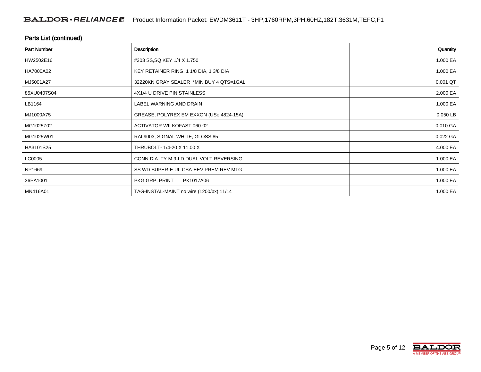| Parts List (continued) |                                             |          |  |  |  |  |
|------------------------|---------------------------------------------|----------|--|--|--|--|
| <b>Part Number</b>     | Description                                 | Quantity |  |  |  |  |
| HW2502E16              | #303 SS, SQ KEY 1/4 X 1.750                 | 1.000 EA |  |  |  |  |
| HA7000A02              | KEY RETAINER RING, 1 1/8 DIA, 1 3/8 DIA     | 1.000 EA |  |  |  |  |
| MJ5001A27              | 32220KN GRAY SEALER *MIN BUY 4 QTS=1GAL     | 0.001 QT |  |  |  |  |
| 85XU0407S04            | 4X1/4 U DRIVE PIN STAINLESS                 | 2.000 EA |  |  |  |  |
| LB1164                 | LABEL, WARNING AND DRAIN                    | 1.000 EA |  |  |  |  |
| MJ1000A75              | GREASE, POLYREX EM EXXON (USe 4824-15A)     | 0.050 LB |  |  |  |  |
| MG1025Z02              | ACTIVATOR WILKOFAST 060-02                  | 0.010 GA |  |  |  |  |
| MG1025W01              | RAL9003, SIGNAL WHITE, GLOSS 85             | 0.022 GA |  |  |  |  |
| HA3101S25              | THRUBOLT- 1/4-20 X 11.00 X                  | 4.000 EA |  |  |  |  |
| LC0005                 | CONN.DIA., TY M, 9-LD, DUAL VOLT, REVERSING | 1.000 EA |  |  |  |  |
| NP1669L                | SS WD SUPER-E UL CSA-EEV PREM REV MTG       | 1.000 EA |  |  |  |  |
| 36PA1001               | PKG GRP, PRINT<br>PK1017A06                 | 1.000 EA |  |  |  |  |
| MN416A01               | TAG-INSTAL-MAINT no wire (1200/bx) 11/14    | 1.000 EA |  |  |  |  |

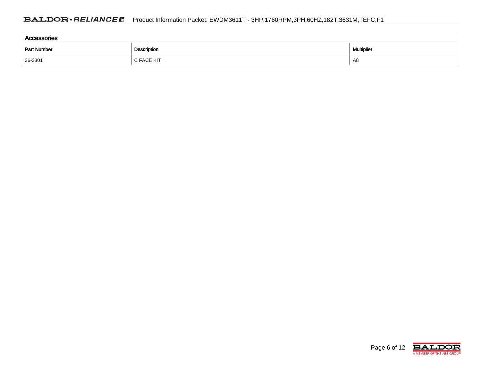| Accessories        |             |                   |  |  |  |  |
|--------------------|-------------|-------------------|--|--|--|--|
| <b>Part Number</b> | Description | <b>Multiplier</b> |  |  |  |  |
| 36-3301            | C FACE KIT  | A8                |  |  |  |  |

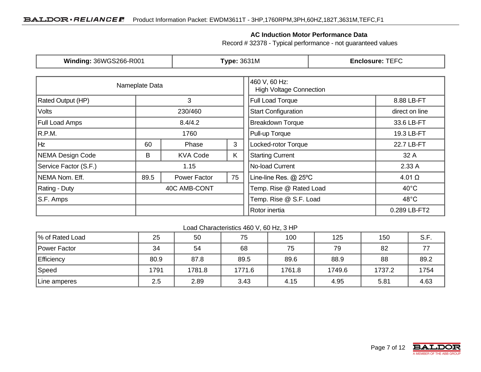#### **AC Induction Motor Performance Data**

Record # 32378 - Typical performance - not guaranteed values

| Winding: 36WGS266-R001   |                | <b>Type: 3631M</b> |    | <b>Enclosure: TEFC</b>                          |                                          |
|--------------------------|----------------|--------------------|----|-------------------------------------------------|------------------------------------------|
|                          | Nameplate Data |                    |    | 460 V, 60 Hz:<br><b>High Voltage Connection</b> |                                          |
| <b>Rated Output (HP)</b> |                | 3                  |    | <b>Full Load Torque</b>                         | 8.88 LB-FT                               |
| Volts                    |                | 230/460            |    | <b>Start Configuration</b>                      | direct on line                           |
| <b>Full Load Amps</b>    |                | 8.4/4.2            |    | <b>Breakdown Torque</b>                         | 33.6 LB-FT                               |
| R.P.M.                   |                | 1760               |    |                                                 | 19.3 LB-FT                               |
| Hz                       | 60             | Phase              | 3  | Locked-rotor Torque                             | 22.7 LB-FT                               |
| NEMA Design Code         | B              | <b>KVA Code</b>    | K. | <b>Starting Current</b>                         | 32 A                                     |
| Service Factor (S.F.)    |                | 1.15               |    | No-load Current                                 | 2.33A                                    |
| NEMA Nom. Eff.           | 89.5           | Power Factor       | 75 | Line-line Res. @ 25°C                           | $4.01 \Omega$                            |
| <b>Rating - Duty</b>     |                | 40C AMB-CONT       |    | Temp. Rise @ Rated Load                         | $40^{\circ}$ C                           |
| S.F. Amps                |                |                    |    |                                                 | Temp. Rise @ S.F. Load<br>$48^{\circ}$ C |
|                          |                |                    |    | Rotor inertia                                   | 0.289 LB-FT2                             |

Load Characteristics 460 V, 60 Hz, 3 HP

| % of Rated Load | 25   | 50     | 75     | 100    | 125    | 150    | S.F. |
|-----------------|------|--------|--------|--------|--------|--------|------|
| Power Factor    | 34   | 54     | 68     | 75     | 79     | 82     |      |
| Efficiency      | 80.9 | 87.8   | 89.5   | 89.6   | 88.9   | 88     | 89.2 |
| Speed           | 1791 | 1781.8 | 1771.6 | 1761.8 | 1749.6 | 1737.2 | 1754 |
| Line amperes    | 2.5  | 2.89   | 3.43   | 4.15   | 4.95   | 5.81   | 4.63 |

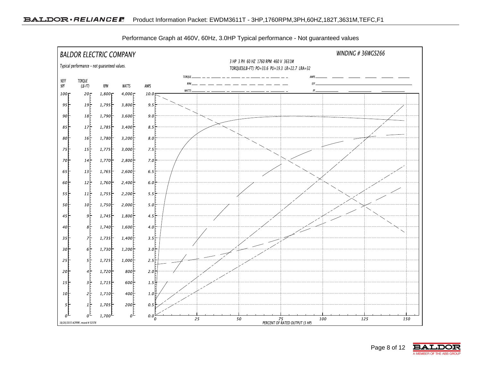

Performance Graph at 460V, 60Hz, 3.0HP Typical performance - Not guaranteed values

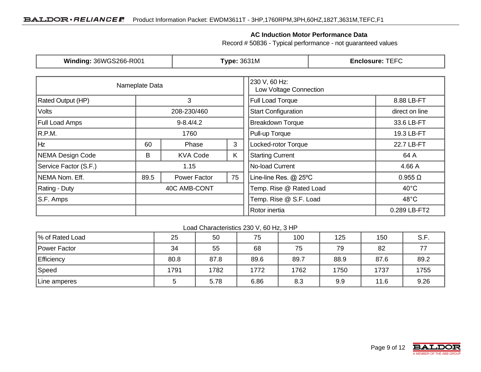#### **AC Induction Motor Performance Data**

Record # 50836 - Typical performance - not guaranteed values

| Winding: 36WGS266-R001   |                | <b>Type: 3631M</b> |                                         | <b>Enclosure: TEFC</b>  |                                          |  |
|--------------------------|----------------|--------------------|-----------------------------------------|-------------------------|------------------------------------------|--|
|                          | Nameplate Data |                    | 230 V, 60 Hz:<br>Low Voltage Connection |                         |                                          |  |
| <b>Rated Output (HP)</b> |                | 3                  |                                         | <b>Full Load Torque</b> | 8.88 LB-FT                               |  |
| Volts                    | 208-230/460    |                    | <b>Start Configuration</b>              | direct on line          |                                          |  |
| <b>Full Load Amps</b>    |                | $9 - 8.4/4.2$      |                                         | <b>Breakdown Torque</b> | 33.6 LB-FT                               |  |
| R.P.M.                   |                | 1760               |                                         |                         | 19.3 LB-FT                               |  |
| Hz                       | 60             | 3<br>Phase         |                                         | Locked-rotor Torque     | 22.7 LB-FT                               |  |
| NEMA Design Code         | B              | <b>KVA Code</b>    | K                                       | <b>Starting Current</b> | 64 A                                     |  |
| Service Factor (S.F.)    |                | 1.15               |                                         | No-load Current         | 4.66 A                                   |  |
| NEMA Nom. Eff.           | 89.5           | Power Factor       | 75                                      | Line-line Res. @ 25°C   | $0.955 \Omega$                           |  |
| Rating - Duty            | 40C AMB-CONT   |                    | Temp. Rise @ Rated Load                 | $40^{\circ}$ C          |                                          |  |
| S.F. Amps                |                |                    |                                         |                         | Temp. Rise @ S.F. Load<br>$48^{\circ}$ C |  |
|                          |                |                    |                                         | Rotor inertia           | 0.289 LB-FT2                             |  |

Load Characteristics 230 V, 60 Hz, 3 HP

| % of Rated Load   | 25   | 50   | 75   | 100  | 125  | 150  | S.F. |
|-------------------|------|------|------|------|------|------|------|
| Power Factor      | 34   | 55   | 68   | 75   | 79   | 82   |      |
| <b>Efficiency</b> | 80.8 | 87.8 | 89.6 | 89.7 | 88.9 | 87.6 | 89.2 |
| Speed             | 1791 | 1782 | 1772 | 1762 | 1750 | 1737 | 1755 |
| Line amperes      |      | 5.78 | 6.86 | 8.3  | 9.9  | 11.6 | 9.26 |

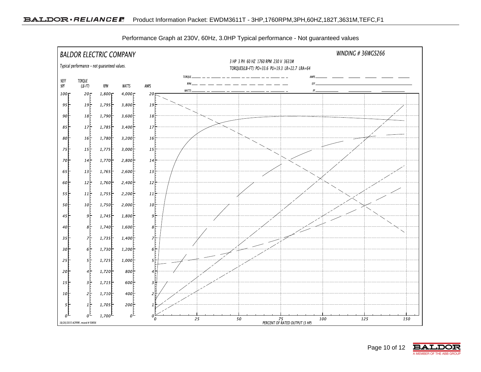

Performance Graph at 230V, 60Hz, 3.0HP Typical performance - Not guaranteed values

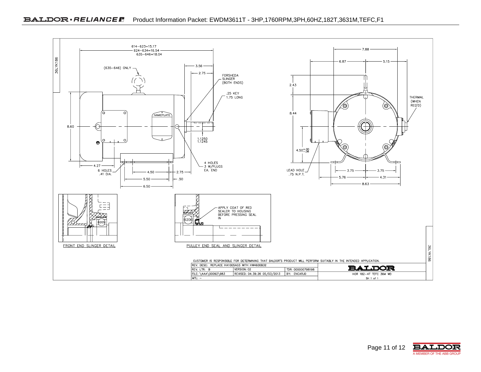